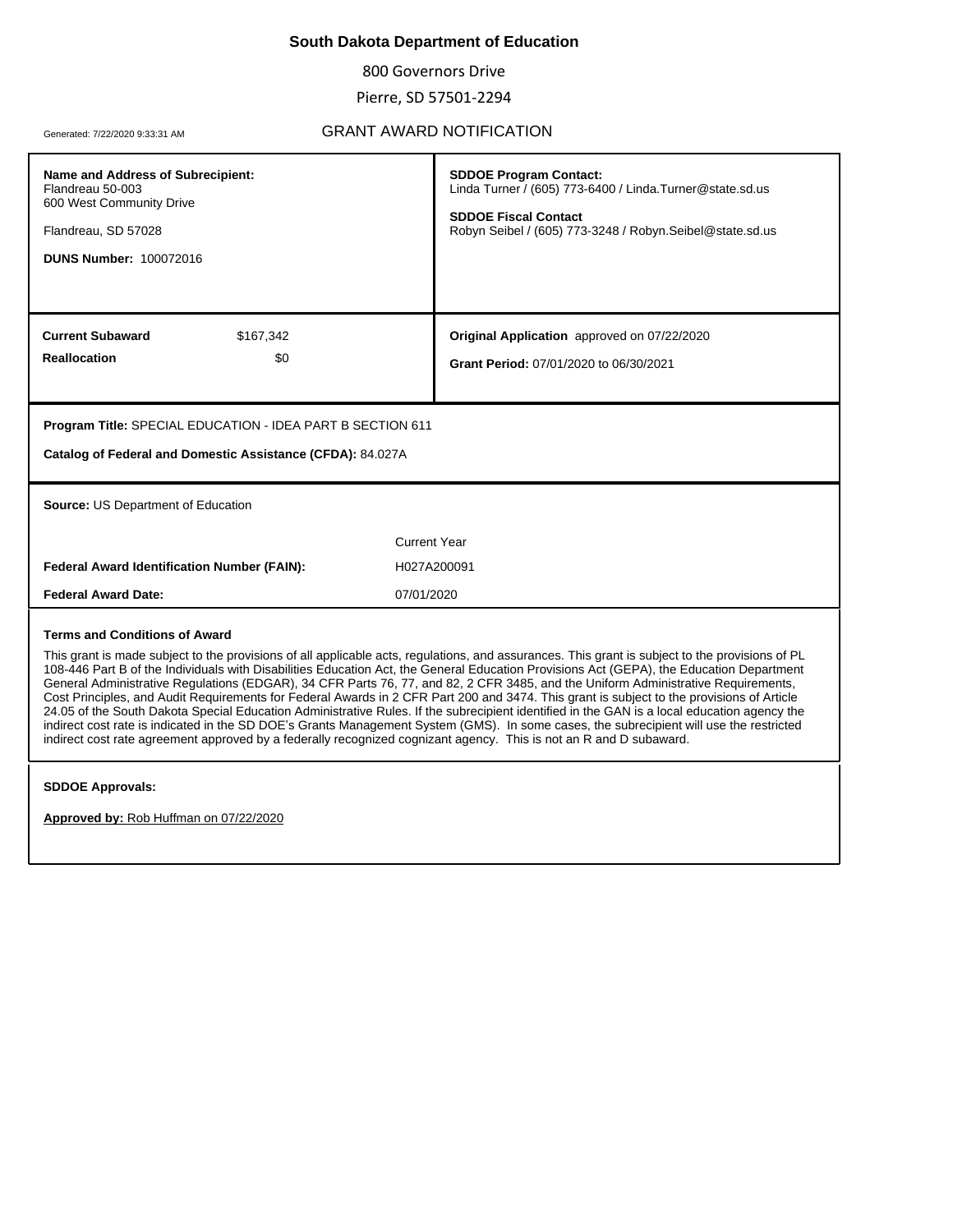## **South Dakota Department of Education**

800 Governors Drive

Pierre, SD 57501-2294

## Generated: 7/22/2020 9:33:31 AM **GRANT AWARD NOTIFICATION**

| Name and Address of Subrecipient:<br>Flandreau 50-003<br>600 West Community Drive<br>Flandreau, SD 57028<br><b>DUNS Number: 100072016</b>                                                                                                                                                                                                                                                                                                                                                                                                                                                                                                                                                                                                                                                                                                                                                                                                                                                                                             | <b>SDDOE Program Contact:</b><br>Linda Turner / (605) 773-6400 / Linda. Turner@state.sd.us<br><b>SDDOE Fiscal Contact</b><br>Robyn Seibel / (605) 773-3248 / Robyn.Seibel@state.sd.us |  |
|---------------------------------------------------------------------------------------------------------------------------------------------------------------------------------------------------------------------------------------------------------------------------------------------------------------------------------------------------------------------------------------------------------------------------------------------------------------------------------------------------------------------------------------------------------------------------------------------------------------------------------------------------------------------------------------------------------------------------------------------------------------------------------------------------------------------------------------------------------------------------------------------------------------------------------------------------------------------------------------------------------------------------------------|---------------------------------------------------------------------------------------------------------------------------------------------------------------------------------------|--|
| <b>Current Subaward</b><br>\$167,342                                                                                                                                                                                                                                                                                                                                                                                                                                                                                                                                                                                                                                                                                                                                                                                                                                                                                                                                                                                                  | Original Application approved on 07/22/2020                                                                                                                                           |  |
| <b>Reallocation</b><br>\$0                                                                                                                                                                                                                                                                                                                                                                                                                                                                                                                                                                                                                                                                                                                                                                                                                                                                                                                                                                                                            | Grant Period: 07/01/2020 to 06/30/2021                                                                                                                                                |  |
|                                                                                                                                                                                                                                                                                                                                                                                                                                                                                                                                                                                                                                                                                                                                                                                                                                                                                                                                                                                                                                       |                                                                                                                                                                                       |  |
| Program Title: SPECIAL EDUCATION - IDEA PART B SECTION 611<br>Catalog of Federal and Domestic Assistance (CFDA): 84.027A                                                                                                                                                                                                                                                                                                                                                                                                                                                                                                                                                                                                                                                                                                                                                                                                                                                                                                              |                                                                                                                                                                                       |  |
| Source: US Department of Education                                                                                                                                                                                                                                                                                                                                                                                                                                                                                                                                                                                                                                                                                                                                                                                                                                                                                                                                                                                                    |                                                                                                                                                                                       |  |
| <b>Current Year</b>                                                                                                                                                                                                                                                                                                                                                                                                                                                                                                                                                                                                                                                                                                                                                                                                                                                                                                                                                                                                                   |                                                                                                                                                                                       |  |
| <b>Federal Award Identification Number (FAIN):</b>                                                                                                                                                                                                                                                                                                                                                                                                                                                                                                                                                                                                                                                                                                                                                                                                                                                                                                                                                                                    | H027A200091                                                                                                                                                                           |  |
| <b>Federal Award Date:</b><br>07/01/2020                                                                                                                                                                                                                                                                                                                                                                                                                                                                                                                                                                                                                                                                                                                                                                                                                                                                                                                                                                                              |                                                                                                                                                                                       |  |
| <b>Terms and Conditions of Award</b><br>This grant is made subject to the provisions of all applicable acts, regulations, and assurances. This grant is subject to the provisions of PL<br>108-446 Part B of the Individuals with Disabilities Education Act, the General Education Provisions Act (GEPA), the Education Department<br>General Administrative Regulations (EDGAR), 34 CFR Parts 76, 77, and 82, 2 CFR 3485, and the Uniform Administrative Requirements,<br>Cost Principles, and Audit Requirements for Federal Awards in 2 CFR Part 200 and 3474. This grant is subject to the provisions of Article<br>24.05 of the South Dakota Special Education Administrative Rules. If the subrecipient identified in the GAN is a local education agency the<br>indirect cost rate is indicated in the SD DOE's Grants Management System (GMS). In some cases, the subrecipient will use the restricted<br>indirect cost rate agreement approved by a federally recognized cognizant agency. This is not an R and D subaward. |                                                                                                                                                                                       |  |
| <b>SDDOE Approvals:</b>                                                                                                                                                                                                                                                                                                                                                                                                                                                                                                                                                                                                                                                                                                                                                                                                                                                                                                                                                                                                               |                                                                                                                                                                                       |  |
| Approved by: Rob Huffman on 07/22/2020                                                                                                                                                                                                                                                                                                                                                                                                                                                                                                                                                                                                                                                                                                                                                                                                                                                                                                                                                                                                |                                                                                                                                                                                       |  |